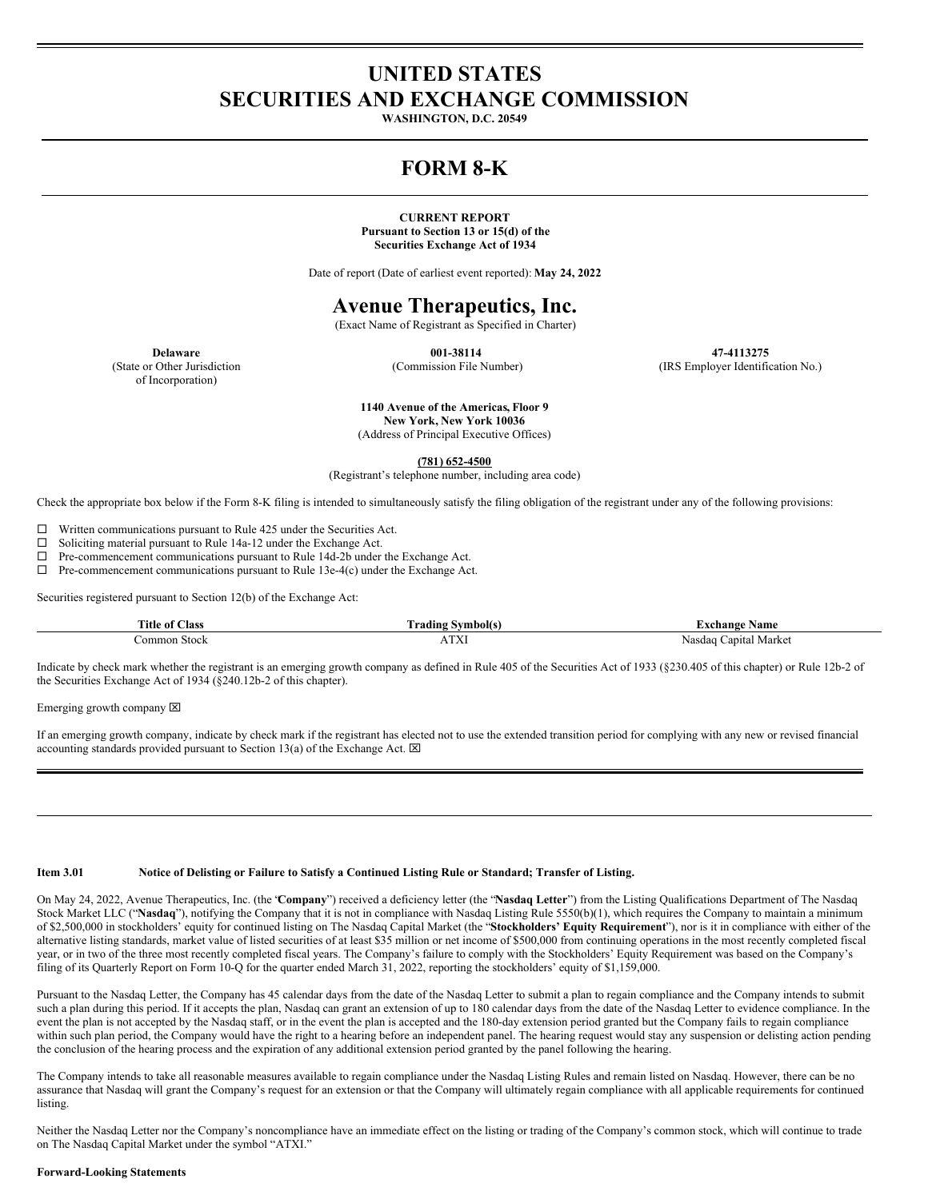# **UNITED STATES SECURITIES AND EXCHANGE COMMISSION**

**WASHINGTON, D.C. 20549**

# **FORM 8-K**

#### **CURRENT REPORT Pursuant to Section 13 or 15(d) of the Securities Exchange Act of 1934**

Date of report (Date of earliest event reported): **May 24, 2022**

### **Avenue Therapeutics, Inc.**

(Exact Name of Registrant as Specified in Charter)

**001-38114** (Commission File Number)

**47-4113275** (IRS Employer Identification No.)

**Delaware** (State or Other Jurisdiction of Incorporation)

> **1140 Avenue of the Americas, Floor 9 New York, New York 10036** (Address of Principal Executive Offices)

> > **(781) 652-4500**

(Registrant's telephone number, including area code)

Check the appropriate box below if the Form 8-K filing is intended to simultaneously satisfy the filing obligation of the registrant under any of the following provisions:

 $\square$  Written communications pursuant to Rule 425 under the Securities Act.

 $\square$  Soliciting material pursuant to Rule 14a-12 under the Exchange Act.<br> $\square$  Pre-commencement communications pursuant to Rule 14d-2b under

Pre-commencement communications pursuant to Rule 14d-2b under the Exchange Act.

 $\Box$  Pre-commencement communications pursuant to Rule 13e-4(c) under the Exchange Act.

Securities registered pursuant to Section 12(b) of the Exchange Act:

| <b>Title of</b> | √mhoit∘       | <b>same</b>                |
|-----------------|---------------|----------------------------|
| Aas:            | <b>rading</b> | change                     |
|                 |               |                            |
| Stock<br>.ommon |               | Market<br>anital<br>Nasdac |

Indicate by check mark whether the registrant is an emerging growth company as defined in Rule 405 of the Securities Act of 1933 (§230.405 of this chapter) or Rule 12b-2 of the Securities Exchange Act of 1934 (§240.12b-2 of this chapter).

Emerging growth company  $\boxtimes$ 

If an emerging growth company, indicate by check mark if the registrant has elected not to use the extended transition period for complying with any new or revised financial accounting standards provided pursuant to Section 13(a) of the Exchange Act.  $\boxtimes$ 

Item 3.01 Notice of Delisting or Failure to Satisfy a Continued Listing Rule or Standard; Transfer of Listing.

On May 24, 2022, Avenue Therapeutics, Inc. (the "**Company**") received a deficiency letter (the "**Nasdaq Letter**") from the Listing Qualifications Department of The Nasdaq Stock Market LLC ("**Nasdaq**"), notifying the Company that it is not in compliance with Nasdaq Listing Rule 5550(b)(1), which requires the Company to maintain a minimum of \$2,500,000 in stockholders' equity for continued listing on The Nasdaq Capital Market (the "**Stockholders' Equity Requirement**"), nor is it in compliance with either of the alternative listing standards, market value of listed securities of at least \$35 million or net income of \$500,000 from continuing operations in the most recently completed fiscal year, or in two of the three most recently completed fiscal years. The Company's failure to comply with the Stockholders' Equity Requirement was based on the Company's filing of its Quarterly Report on Form 10-Q for the quarter ended March 31, 2022, reporting the stockholders' equity of \$1,159,000.

Pursuant to the Nasdaq Letter, the Company has 45 calendar days from the date of the Nasdaq Letter to submit a plan to regain compliance and the Company intends to submit such a plan during this period. If it accepts the plan, Nasdaq can grant an extension of up to 180 calendar days from the date of the Nasdaq Letter to evidence compliance. In the event the plan is not accepted by the Nasdaq staff, or in the event the plan is accepted and the 180-day extension period granted but the Company fails to regain compliance within such plan period, the Company would have the right to a hearing before an independent panel. The hearing request would stay any suspension or delisting action pending the conclusion of the hearing process and the expiration of any additional extension period granted by the panel following the hearing.

The Company intends to take all reasonable measures available to regain compliance under the Nasdaq Listing Rules and remain listed on Nasdaq. However, there can be no assurance that Nasdaq will grant the Company's request for an extension or that the Company will ultimately regain compliance with all applicable requirements for continued listing.

Neither the Nasdaq Letter nor the Company's noncompliance have an immediate effect on the listing or trading of the Company's common stock, which will continue to trade on The Nasdaq Capital Market under the symbol "ATXI."